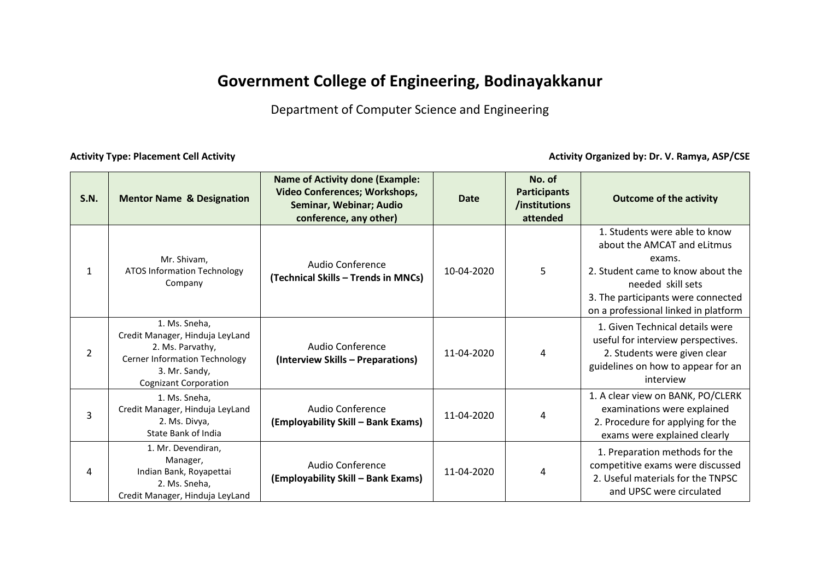## **Government College of Engineering, Bodinayakkanur**

Department of Computer Science and Engineering

Activity Type: Placement Cell Activity **Activity Construction Cell Activity Activity Organized** by: Dr. V. Ramya, ASP/CSE

| S.N.           | <b>Mentor Name &amp; Designation</b>                                                                                                                          | <b>Name of Activity done (Example:</b><br><b>Video Conferences; Workshops,</b><br>Seminar, Webinar; Audio<br>conference, any other) | <b>Date</b> | No. of<br><b>Participants</b><br>/institutions<br>attended | <b>Outcome of the activity</b>                                                                                                                                                                                 |
|----------------|---------------------------------------------------------------------------------------------------------------------------------------------------------------|-------------------------------------------------------------------------------------------------------------------------------------|-------------|------------------------------------------------------------|----------------------------------------------------------------------------------------------------------------------------------------------------------------------------------------------------------------|
| $\mathbf{1}$   | Mr. Shivam,<br><b>ATOS Information Technology</b><br>Company                                                                                                  | Audio Conference<br>(Technical Skills - Trends in MNCs)                                                                             | 10-04-2020  | 5                                                          | 1. Students were able to know<br>about the AMCAT and eLitmus<br>exams.<br>2. Student came to know about the<br>needed skill sets<br>3. The participants were connected<br>on a professional linked in platform |
| $\overline{2}$ | 1. Ms. Sneha,<br>Credit Manager, Hinduja LeyLand<br>2. Ms. Parvathy,<br><b>Cerner Information Technology</b><br>3. Mr. Sandy,<br><b>Cognizant Corporation</b> | <b>Audio Conference</b><br>(Interview Skills - Preparations)                                                                        | 11-04-2020  | 4                                                          | 1. Given Technical details were<br>useful for interview perspectives.<br>2. Students were given clear<br>guidelines on how to appear for an<br>interview                                                       |
| 3              | 1. Ms. Sneha,<br>Credit Manager, Hinduja LeyLand<br>2. Ms. Divya,<br>State Bank of India                                                                      | Audio Conference<br>(Employability Skill - Bank Exams)                                                                              | 11-04-2020  | 4                                                          | 1. A clear view on BANK, PO/CLERK<br>examinations were explained<br>2. Procedure for applying for the<br>exams were explained clearly                                                                          |
| 4              | 1. Mr. Devendiran,<br>Manager,<br>Indian Bank, Royapettai<br>2. Ms. Sneha,<br>Credit Manager, Hinduja LeyLand                                                 | Audio Conference<br>(Employability Skill – Bank Exams)                                                                              | 11-04-2020  | 4                                                          | 1. Preparation methods for the<br>competitive exams were discussed<br>2. Useful materials for the TNPSC<br>and UPSC were circulated                                                                            |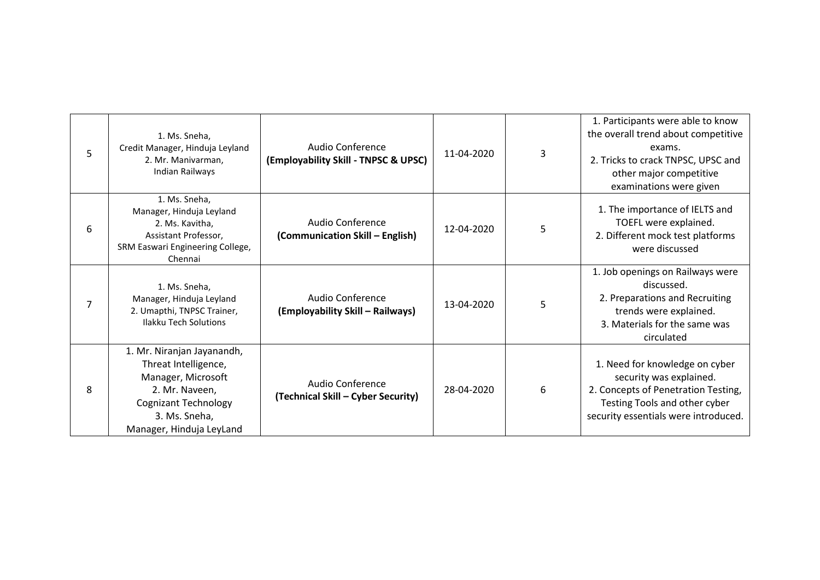| 5 | 1. Ms. Sneha,<br>Credit Manager, Hinduja Leyland<br>2. Mr. Manivarman,<br>Indian Railways                                                                              | Audio Conference<br>(Employability Skill - TNPSC & UPSC) | 11-04-2020 | 3 | 1. Participants were able to know<br>the overall trend about competitive<br>exams.<br>2. Tricks to crack TNPSC, UPSC and<br>other major competitive<br>examinations were given |
|---|------------------------------------------------------------------------------------------------------------------------------------------------------------------------|----------------------------------------------------------|------------|---|--------------------------------------------------------------------------------------------------------------------------------------------------------------------------------|
| 6 | 1. Ms. Sneha,<br>Manager, Hinduja Leyland<br>2. Ms. Kavitha,<br>Assistant Professor,<br>SRM Easwari Engineering College,<br>Chennai                                    | Audio Conference<br>(Communication Skill - English)      | 12-04-2020 | 5 | 1. The importance of IELTS and<br>TOEFL were explained.<br>2. Different mock test platforms<br>were discussed                                                                  |
| 7 | 1. Ms. Sneha,<br>Manager, Hinduja Leyland<br>2. Umapthi, TNPSC Trainer,<br><b>Ilakku Tech Solutions</b>                                                                | Audio Conference<br>(Employability Skill – Railways)     | 13-04-2020 | 5 | 1. Job openings on Railways were<br>discussed.<br>2. Preparations and Recruiting<br>trends were explained.<br>3. Materials for the same was<br>circulated                      |
| 8 | 1. Mr. Niranjan Jayanandh,<br>Threat Intelligence,<br>Manager, Microsoft<br>2. Mr. Naveen,<br><b>Cognizant Technology</b><br>3. Ms. Sneha,<br>Manager, Hinduja LeyLand | Audio Conference<br>(Technical Skill - Cyber Security)   | 28-04-2020 | 6 | 1. Need for knowledge on cyber<br>security was explained.<br>2. Concepts of Penetration Testing,<br>Testing Tools and other cyber<br>security essentials were introduced.      |